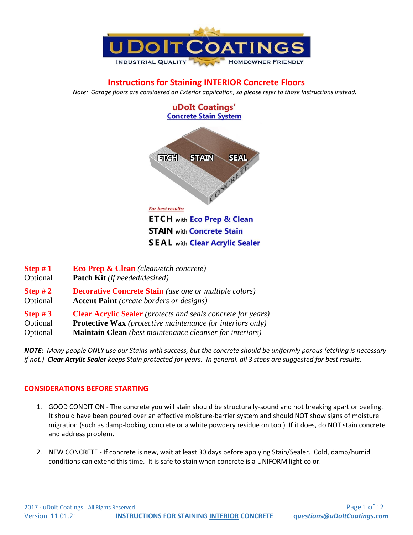

# **Instructions for Staining INTERIOR Concrete Floors**

*Note: Garage floors are considered an Exterior application, so please refer to those Instructions instead.*



| Step $#1$             | <b>Eco Prep &amp; Clean</b> (clean/etch concrete)                                                                |
|-----------------------|------------------------------------------------------------------------------------------------------------------|
| Optional              | <b>Patch Kit</b> (if needed/desired)                                                                             |
| Step $#2$<br>Optional | <b>Decorative Concrete Stain</b> (use one or multiple colors)<br><b>Accent Paint</b> (create borders or designs) |
| Step $#3$             | <b>Clear Acrylic Sealer</b> (protects and seals concrete for years)                                              |
| Optional              | <b>Protective Wax</b> (protective maintenance for interiors only)                                                |
| Optional              | Maintain Clean (best maintenance cleanser for interiors)                                                         |

*NOTE: Many people ONLY use our Stains with success, but the concrete should be uniformly porous (etching is necessary if not.) Clear Acrylic Sealer keeps Stain protected for years. In general, all 3 steps are suggested for best results.*

### **CONSIDERATIONS BEFORE STARTING**

- 1. GOOD CONDITION The concrete you will stain should be structurally-sound and not breaking apart or peeling. It should have been poured over an effective moisture-barrier system and should NOT show signs of moisture migration (such as damp-looking concrete or a white powdery residue on top.) If it does, do NOT stain concrete and address problem.
- 2. NEW CONCRETE If concrete is new, wait at least 30 days before applying Stain/Sealer. Cold, damp/humid conditions can extend this time. It is safe to stain when concrete is a UNIFORM light color.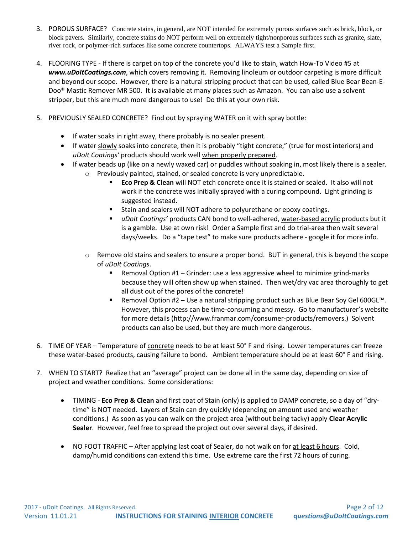- 3. POROUS SURFACE? Concrete stains, in general, are NOT intended for extremely porous surfaces such as brick, block, or block pavers. Similarly, concrete stains do NOT perform well on extremely tight/nonporous surfaces such as granite, slate, river rock, or polymer-rich surfaces like some concrete countertops. ALWAYS test a Sample first.
- 4. FLOORING TYPE If there is carpet on top of the concrete you'd like to stain, watch How-To Video #5 at *www.uDoItCoatings.com*, which covers removing it. Removing linoleum or outdoor carpeting is more difficult and beyond our scope. However, there is a natural stripping product that can be used, called Blue Bear Bean-E-Doo® Mastic Remover MR 500. It is available at many places such as Amazon. You can also use a solvent stripper, but this are much more dangerous to use! Do this at your own risk.
- 5. PREVIOUSLY SEALED CONCRETE? Find out by spraying WATER on it with spray bottle:
	- If water soaks in right away, there probably is no sealer present.
	- If water slowly soaks into concrete, then it is probably "tight concrete," (true for most interiors) and *uDoIt Coatings'* products should work well when properly prepared.
	- If water beads up (like on a newly waxed car) or puddles without soaking in, most likely there is a sealer.
		- o Previously painted, stained, or sealed concrete is very unpredictable.
			- **Eco Prep & Clean** will NOT etch concrete once it is stained or sealed. It also will not work if the concrete was initially sprayed with a curing compound. Light grinding is suggested instead.
			- Stain and sealers will NOT adhere to polyurethane or epoxy coatings.
			- *uDoIt Coatings'* products CAN bond to well-adhered, water-based acrylic products but it is a gamble. Use at own risk! Order a Sample first and do trial-area then wait several days/weeks. Do a "tape test" to make sure products adhere - google it for more info.
		- $\circ$  Remove old stains and sealers to ensure a proper bond. BUT in general, this is beyond the scope of *uDoIt Coatings*.
			- Removal Option #1 Grinder: use a less aggressive wheel to minimize grind-marks because they will often show up when stained. Then wet/dry vac area thoroughly to get all dust out of the pores of the concrete!
			- Removal Option #2 Use a natural stripping product such as Blue Bear Soy Gel 600GL<sup>™</sup>. However, this process can be time-consuming and messy. Go to manufacturer's website for more details (http://www.franmar.com/consumer-products/removers.) Solvent products can also be used, but they are much more dangerous.
- 6. TIME OF YEAR Temperature of concrete needs to be at least 50° F and rising. Lower temperatures can freeze these water-based products, causing failure to bond. Ambient temperature should be at least 60° F and rising.
- 7. WHEN TO START? Realize that an "average" project can be done all in the same day, depending on size of project and weather conditions. Some considerations:
	- TIMING **Eco Prep & Clean** and first coat of Stain (only) is applied to DAMP concrete, so a day of "drytime" is NOT needed. Layers of Stain can dry quickly (depending on amount used and weather conditions.) As soon as you can walk on the project area (without being tacky) apply **Clear Acrylic Sealer**. However, feel free to spread the project out over several days, if desired.
	- NO FOOT TRAFFIC After applying last coat of Sealer, do not walk on for at least 6 hours. Cold, damp/humid conditions can extend this time. Use extreme care the first 72 hours of curing.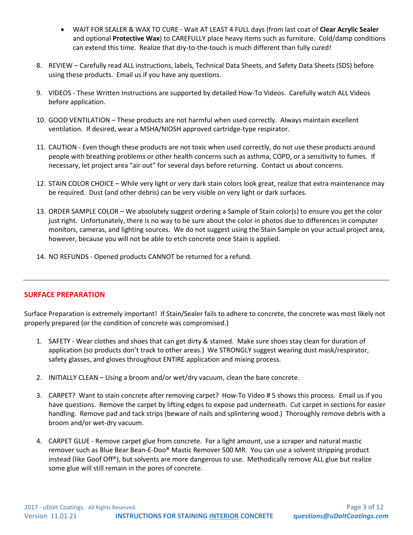- WAIT FOR SEALER & WAX TO CURE Wait AT LEAST 4 FULL days (from last coat of **Clear Acrylic Sealer** and optional **Protective Wax**) to CAREFULLY place heavy items such as furniture. Cold/damp conditions can extend this time. Realize that dry-to-the-touch is much different than fully cured!
- 8. REVIEW Carefully read ALL instructions, labels, Technical Data Sheets, and Safety Data Sheets (SDS) before using these products. Email us if you have any questions.
- 9. VIDEOS These Written Instructions are supported by detailed How-To Videos. Carefully watch ALL Videos before application.
- 10. GOOD VENTILATION These products are not harmful when used correctly. Always maintain excellent ventilation. If desired, wear a MSHA/NIOSH approved cartridge-type respirator.
- 11. CAUTION Even though these products are not toxic when used correctly, do not use these products around people with breathing problems or other health concerns such as asthma, COPD, or a sensitivity to fumes. If necessary, let project area "air out" for several days before returning. Contact us about concerns.
- 12. STAIN COLOR CHOICE While very light or very dark stain colors look great, realize that extra maintenance may be required. Dust (and other debris) can be very visible on very light or dark surfaces.
- 13. ORDER SAMPLE COLOR We absolutely suggest ordering a Sample of Stain color(s) to ensure you get the color just right. Unfortunately, there is no way to be sure about the color in photos due to differences in computer monitors, cameras, and lighting sources. We do not suggest using the Stain Sample on your actual project area, however, because you will not be able to etch concrete once Stain is applied.
- 14. NO REFUNDS Opened products CANNOT be returned for a refund.

### **SURFACE PREPARATION**

Surface Preparation is extremely important! If Stain/Sealer fails to adhere to concrete, the concrete was most likely not properly prepared (or the condition of concrete was compromised.)

- 1. SAFETY Wear clothes and shoes that can get dirty & stained. Make sure shoes stay clean for duration of application (so products don't track to other areas.) We STRONGLY suggest wearing dust mask/respirator, safety glasses, and gloves throughout ENTIRE application and mixing process.
- 2. INITIALLY CLEAN Using a broom and/or wet/dry vacuum, clean the bare concrete.
- 3. CARPET? Want to stain concrete after removing carpet? How-To Video # 5 shows this process. Email us if you have questions. Remove the carpet by lifting edges to expose pad underneath. Cut carpet in sections for easier handling. Remove pad and tack strips (beware of nails and splintering wood.) Thoroughly remove debris with a broom and/or wet-dry vacuum.
- 4. CARPET GLUE Remove carpet glue from concrete. For a light amount, use a scraper and natural mastic remover such as Blue Bear Bean-E-Doo® Mastic Remover 500 MR. You can use a solvent stripping product instead (like Goof Off®), but solvents are more dangerous to use. Methodically remove ALL glue but realize some glue will still remain in the pores of concrete.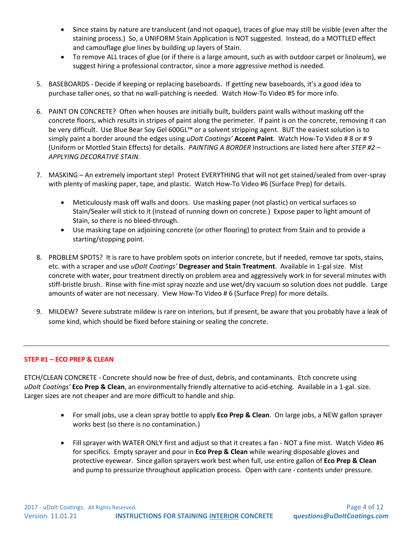- Since stains by nature are translucent (and not opaque), traces of glue may still be visible (even after the staining process.) So, a UNIFORM Stain Application is NOT suggested. Instead, do a MOTTLED effect and camouflage glue lines by building up layers of Stain.
- To remove ALL traces of glue (or if there is a large amount, such as with outdoor carpet or linoleum), we suggest hiring a professional contractor, since a more aggressive method is needed.
- 5. BASEBOARDS Decide if keeping or replacing baseboards. If getting new baseboards, it's a good idea to purchase taller ones, so that no wall-patching is needed. Watch How-To Video #5 for more info.
- 6. PAINT ON CONCRETE? Often when houses are initially built, builders paint walls without masking off the concrete floors, which results in stripes of paint along the perimeter. If paint is on the concrete, removing it can be very difficult. Use Blue Bear Soy Gel 600GL™ or a solvent stripping agent. BUT the easiest solution is to simply paint a border around the edges using *uDoIt Coatings'* **Accent Paint**. Watch How-To Video # 8 or # 9 (Uniform or Mottled Stain Effects) for details. *PAINTING A BORDER* Instructions are listed here after *STEP #2 – APPLYING DECORATIVE STAIN.*
- 7. MASKING An extremely important step! Protect EVERYTHING that will not get stained/sealed from over-spray with plenty of masking paper, tape, and plastic. Watch How-To Video #6 (Surface Prep) for details.
	- Meticulously mask off walls and doors. Use masking paper (not plastic) on vertical surfaces so Stain/Sealer will stick to it (instead of running down on concrete.) Expose paper to light amount of Stain, so there is no bleed-through.
	- Use masking tape on adjoining concrete (or other flooring) to protect from Stain and to provide a starting/stopping point.
- 8. PROBLEM SPOTS? It is rare to have problem spots on interior concrete, but if needed, remove tar spots, stains, etc. with a scraper and use *uDoIt Coatings'* **Degreaser and Stain Treatment**. Available in 1-gal size. Mist concrete with water, pour treatment directly on problem area and aggressively work in for several minutes with stiff-bristle brush. Rinse with fine-mist spray nozzle and use wet/dry vacuum so solution does not puddle. Large amounts of water are not necessary. View How-To Video # 6 (Surface Prep) for more details.
- 9. MILDEW? Severe substrate mildew is rare on interiors, but if present, be aware that you probably have a leak of some kind, which should be fixed before staining or sealing the concrete.

### **STEP #1 – ECO PREP & CLEAN**

ETCH/CLEAN CONCRETE - Concrete should now be free of dust, debris, and contaminants. Etch concrete using *uDoIt Coatings'* **Eco Prep & Clean**, an environmentally friendly alternative to acid-etching. Available in a 1-gal. size. Larger sizes are not cheaper and are more difficult to handle and ship.

- For small jobs, use a clean spray bottle to apply **Eco Prep & Clean**. On large jobs, a NEW gallon sprayer works best (so there is no contamination.)
- Fill sprayer with WATER ONLY first and adjust so that it creates a fan NOT a fine mist. Watch Video #6 for specifics. Empty sprayer and pour in **Eco Prep & Clean** while wearing disposable gloves and protective eyewear. Since gallon sprayers work best when full, use entire gallon of **Eco Prep & Clean** and pump to pressurize throughout application process. Open with care - contents under pressure.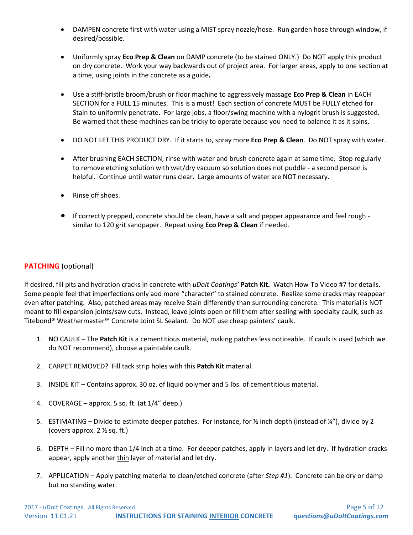- DAMPEN concrete first with water using a MIST spray nozzle/hose. Run garden hose through window, if desired/possible.
- Uniformly spray **Eco Prep & Clean** on DAMP concrete (to be stained ONLY.) Do NOT apply this product on dry concrete. Work your way backwards out of project area. For larger areas, apply to one section at a time, using joints in the concrete as a guide**.**
- Use a stiff-bristle broom/brush or floor machine to aggressively massage **Eco Prep & Clean** in EACH SECTION for a FULL 15 minutes. This is a must! Each section of concrete MUST be FULLY etched for Stain to uniformly penetrate. For large jobs, a floor/swing machine with a nylogrit brush is suggested. Be warned that these machines can be tricky to operate because you need to balance it as it spins.
- DO NOT LET THIS PRODUCT DRY. If it starts to, spray more **Eco Prep & Clean**. Do NOT spray with water.
- After brushing EACH SECTION, rinse with water and brush concrete again at same time. Stop regularly to remove etching solution with wet/dry vacuum so solution does not puddle - a second person is helpful. Continue until water runs clear. Large amounts of water are NOT necessary.
- Rinse off shoes.
- If correctly prepped, concrete should be clean, have a salt and pepper appearance and feel rough similar to 120 grit sandpaper. Repeat using **Eco Prep & Clean** if needed.

#### **PATCHING** (optional)

If desired, fill pits and hydration cracks in concrete with *uDoIt Coatings'* **Patch Kit.** Watch How-To Video #7 for details. Some people feel that imperfections only add more "character" to stained concrete. Realize some cracks may reappear even after patching. Also, patched areas may receive Stain differently than surrounding concrete. This material is NOT meant to fill expansion joints/saw cuts. Instead, leave joints open or fill them after sealing with specialty caulk, such as Titebond® Weathermaster™ Concrete Joint SL Sealant. Do NOT use cheap painters' caulk.

- 1. NO CAULK The **Patch Kit** is a cementitious material, making patches less noticeable. If caulk is used (which we do NOT recommend), choose a paintable caulk.
- 2. CARPET REMOVED? Fill tack strip holes with this **Patch Kit** material.
- 3. INSIDE KIT Contains approx. 30 oz. of liquid polymer and 5 lbs. of cementitious material.
- 4. COVERAGE approx. 5 sq. ft. (at 1/4" deep.)
- 5. ESTIMATING Divide to estimate deeper patches. For instance, for ½ inch depth (instead of ¼"), divide by 2 (covers approx. 2 ½ sq. ft.)
- 6. DEPTH Fill no more than 1/4 inch at a time. For deeper patches, apply in layers and let dry. If hydration cracks appear, apply another thin layer of material and let dry.
- 7. APPLICATION Apply patching material to clean/etched concrete (after *Step #1*). Concrete can be dry or damp but no standing water.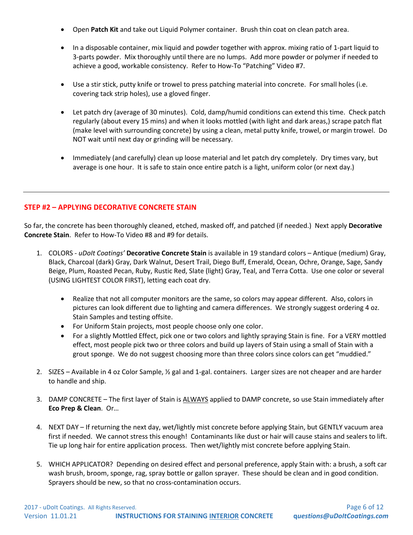- Open **Patch Kit** and take out Liquid Polymer container. Brush thin coat on clean patch area.
- In a disposable container, mix liquid and powder together with approx. mixing ratio of 1-part liquid to 3-parts powder. Mix thoroughly until there are no lumps. Add more powder or polymer if needed to achieve a good, workable consistency. Refer to How-To "Patching" Video #7.
- Use a stir stick, putty knife or trowel to press patching material into concrete. For small holes (i.e. covering tack strip holes), use a gloved finger.
- Let patch dry (average of 30 minutes). Cold, damp/humid conditions can extend this time. Check patch regularly (about every 15 mins) and when it looks mottled (with light and dark areas,) scrape patch flat (make level with surrounding concrete) by using a clean, metal putty knife, trowel, or margin trowel. Do NOT wait until next day or grinding will be necessary.
- Immediately (and carefully) clean up loose material and let patch dry completely. Dry times vary, but average is one hour. It is safe to stain once entire patch is a light, uniform color (or next day.)

## **STEP #2 – APPLYING DECORATIVE CONCRETE STAIN**

So far, the concrete has been thoroughly cleaned, etched, masked off, and patched (if needed.) Next apply **Decorative Concrete Stain**. Refer to How-To Video #8 and #9 for details.

- 1. COLORS *uDoIt Coatings'* **Decorative Concrete Stain** is available in 19 standard colors Antique (medium) Gray, Black, Charcoal (dark) Gray, Dark Walnut, Desert Trail, Diego Buff, Emerald, Ocean, Ochre, Orange, Sage, Sandy Beige, Plum, Roasted Pecan, Ruby, Rustic Red, Slate (light) Gray, Teal, and Terra Cotta. Use one color or several (USING LIGHTEST COLOR FIRST), letting each coat dry.
	- Realize that not all computer monitors are the same, so colors may appear different. Also, colors in pictures can look different due to lighting and camera differences. We strongly suggest ordering 4 oz. Stain Samples and testing offsite.
	- For Uniform Stain projects, most people choose only one color.
	- For a slightly Mottled Effect, pick one or two colors and lightly spraying Stain is fine. For a VERY mottled effect, most people pick two or three colors and build up layers of Stain using a small of Stain with a grout sponge. We do not suggest choosing more than three colors since colors can get "muddied."
- 2. SIZES Available in 4 oz Color Sample, ½ gal and 1-gal. containers. Larger sizes are not cheaper and are harder to handle and ship.
- 3. DAMP CONCRETE The first layer of Stain is ALWAYS applied to DAMP concrete, so use Stain immediately after **Eco Prep & Clean**. Or…
- 4. NEXT DAY If returning the next day, wet/lightly mist concrete before applying Stain, but GENTLY vacuum area first if needed. We cannot stress this enough! Contaminants like dust or hair will cause stains and sealers to lift. Tie up long hair for entire application process. Then wet/lightly mist concrete before applying Stain.
- 5. WHICH APPLICATOR? Depending on desired effect and personal preference, apply Stain with: a brush, a soft car wash brush, broom, sponge, rag, spray bottle or gallon sprayer. These should be clean and in good condition. Sprayers should be new, so that no cross-contamination occurs.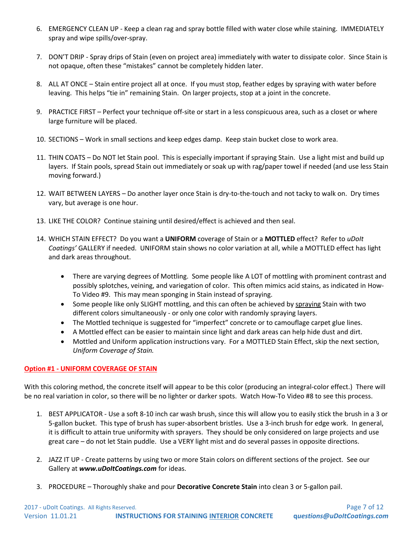- 6. EMERGENCY CLEAN UP Keep a clean rag and spray bottle filled with water close while staining. IMMEDIATELY spray and wipe spills/over-spray.
- 7. DON'T DRIP Spray drips of Stain (even on project area) immediately with water to dissipate color. Since Stain is not opaque, often these "mistakes" cannot be completely hidden later.
- 8. ALL AT ONCE Stain entire project all at once. If you must stop, feather edges by spraying with water before leaving. This helps "tie in" remaining Stain. On larger projects, stop at a joint in the concrete.
- 9. PRACTICE FIRST Perfect your technique off-site or start in a less conspicuous area, such as a closet or where large furniture will be placed.
- 10. SECTIONS Work in small sections and keep edges damp. Keep stain bucket close to work area.
- 11. THIN COATS Do NOT let Stain pool. This is especially important if spraying Stain. Use a light mist and build up layers. If Stain pools, spread Stain out immediately or soak up with rag/paper towel if needed (and use less Stain moving forward.)
- 12. WAIT BETWEEN LAYERS Do another layer once Stain is dry-to-the-touch and not tacky to walk on. Dry times vary, but average is one hour.
- 13. LIKE THE COLOR? Continue staining until desired/effect is achieved and then seal.
- 14. WHICH STAIN EFFECT? Do you want a **UNIFORM** coverage of Stain or a **MOTTLED** effect? Refer to *uDoIt Coatings'* GALLERY if needed. UNIFORM stain shows no color variation at all, while a MOTTLED effect has light and dark areas throughout.
	- There are varying degrees of Mottling. Some people like A LOT of mottling with prominent contrast and possibly splotches, veining, and variegation of color. This often mimics acid stains, as indicated in How-To Video #9. This may mean sponging in Stain instead of spraying.
	- Some people like only SLIGHT mottling, and this can often be achieved by spraying Stain with two different colors simultaneously - or only one color with randomly spraying layers.
	- The Mottled technique is suggested for "imperfect" concrete or to camouflage carpet glue lines.
	- A Mottled effect can be easier to maintain since light and dark areas can help hide dust and dirt.
	- Mottled and Uniform application instructions vary. For a MOTTLED Stain Effect, skip the next section, *Uniform Coverage of Stain.*

### **Option #1 - UNIFORM COVERAGE OF STAIN**

With this coloring method, the concrete itself will appear to be this color (producing an integral-color effect.) There will be no real variation in color, so there will be no lighter or darker spots. Watch How-To Video #8 to see this process.

- 1. BEST APPLICATOR Use a soft 8-10 inch car wash brush, since this will allow you to easily stick the brush in a 3 or 5-gallon bucket. This type of brush has super-absorbent bristles. Use a 3-inch brush for edge work. In general, it is difficult to attain true uniformity with sprayers. They should be only considered on large projects and use great care – do not let Stain puddle. Use a VERY light mist and do several passes in opposite directions.
- 2. JAZZ IT UP Create patterns by using two or more Stain colors on different sections of the project. See our Gallery at *www.uDoItCoatings.com* for ideas.
- 3. PROCEDURE Thoroughly shake and pour **Decorative Concrete Stain** into clean 3 or 5-gallon pail.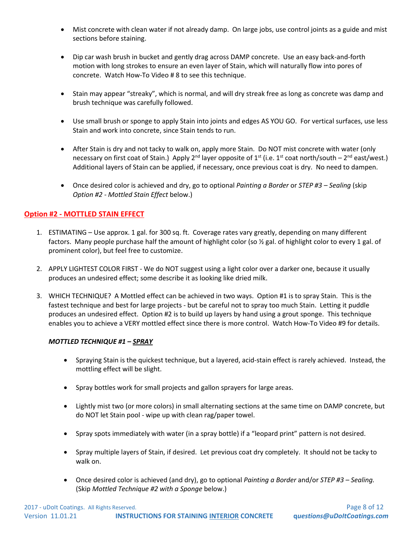- Mist concrete with clean water if not already damp. On large jobs, use control joints as a guide and mist sections before staining.
- Dip car wash brush in bucket and gently drag across DAMP concrete. Use an easy back-and-forth motion with long strokes to ensure an even layer of Stain, which will naturally flow into pores of concrete. Watch How-To Video # 8 to see this technique.
- Stain may appear "streaky", which is normal, and will dry streak free as long as concrete was damp and brush technique was carefully followed.
- Use small brush or sponge to apply Stain into joints and edges AS YOU GO. For vertical surfaces, use less Stain and work into concrete, since Stain tends to run.
- After Stain is dry and not tacky to walk on, apply more Stain. Do NOT mist concrete with water (only necessary on first coat of Stain.) Apply 2<sup>nd</sup> layer opposite of 1<sup>st</sup> (i.e. 1<sup>st</sup> coat north/south – 2<sup>nd</sup> east/west.) Additional layers of Stain can be applied, if necessary, once previous coat is dry. No need to dampen.
- Once desired color is achieved and dry, go to optional *Painting a Border* or *STEP #3 – Sealing* (skip *Option #2 - Mottled Stain Effect* below.)

## **Option #2 - MOTTLED STAIN EFFECT**

- 1. ESTIMATING Use approx. 1 gal. for 300 sq. ft. Coverage rates vary greatly, depending on many different factors. Many people purchase half the amount of highlight color (so ½ gal. of highlight color to every 1 gal. of prominent color), but feel free to customize.
- 2. APPLY LIGHTEST COLOR FIRST We do NOT suggest using a light color over a darker one, because it usually produces an undesired effect; some describe it as looking like dried milk.
- 3. WHICH TECHNIQUE? A Mottled effect can be achieved in two ways. Option #1 is to spray Stain. This is the fastest technique and best for large projects - but be careful not to spray too much Stain. Letting it puddle produces an undesired effect. Option #2 is to build up layers by hand using a grout sponge. This technique enables you to achieve a VERY mottled effect since there is more control. Watch How-To Video #9 for details.

### *MOTTLED TECHNIQUE #1 – SPRAY*

- Spraying Stain is the quickest technique, but a layered, acid-stain effect is rarely achieved. Instead, the mottling effect will be slight.
- Spray bottles work for small projects and gallon sprayers for large areas.
- Lightly mist two (or more colors) in small alternating sections at the same time on DAMP concrete, but do NOT let Stain pool - wipe up with clean rag/paper towel.
- Spray spots immediately with water (in a spray bottle) if a "leopard print" pattern is not desired.
- Spray multiple layers of Stain, if desired. Let previous coat dry completely. It should not be tacky to walk on.
- Once desired color is achieved (and dry), go to optional *Painting a Border* and/or *STEP #3 – Sealing.*  (Skip *Mottled Technique #2 with a Sponge* below.)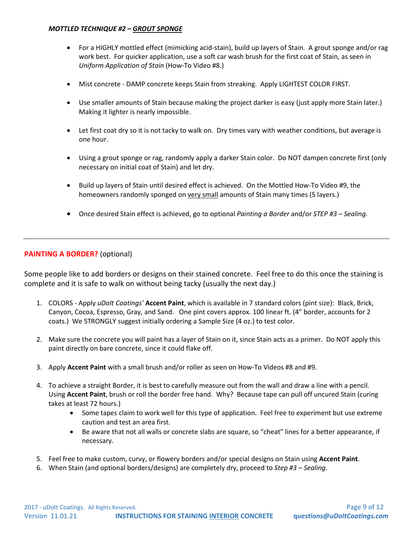#### *MOTTLED TECHNIQUE #2 – GROUT SPONGE*

- For a HIGHLY mottled effect (mimicking acid-stain), build up layers of Stain. A grout sponge and/or rag work best. For quicker application, use a soft car wash brush for the first coat of Stain, as seen in *Uniform Application of Stain* (How-To Video #8.)
- Mist concrete DAMP concrete keeps Stain from streaking. Apply LIGHTEST COLOR FIRST.
- Use smaller amounts of Stain because making the project darker is easy (just apply more Stain later.) Making it lighter is nearly impossible.
- Let first coat dry so it is not tacky to walk on. Dry times vary with weather conditions, but average is one hour.
- Using a grout sponge or rag, randomly apply a darker Stain color. Do NOT dampen concrete first (only necessary on initial coat of Stain) and let dry.
- Build up layers of Stain until desired effect is achieved. On the Mottled How-To Video #9, the homeowners randomly sponged on very small amounts of Stain many times (5 layers.)
- Once desired Stain effect is achieved, go to optional *Painting a Border* and/or *STEP #3 – Sealing.*

### **PAINTING A BORDER?** (optional)

Some people like to add borders or designs on their stained concrete. Feel free to do this once the staining is complete and it is safe to walk on without being tacky (usually the next day.)

- 1. COLORS Apply *uDoIt Coatings'* **Accent Paint**, which is available in 7 standard colors (pint size): Black, Brick, Canyon, Cocoa, Espresso, Gray, and Sand. One pint covers approx. 100 linear ft. (4" border, accounts for 2 coats.) We STRONGLY suggest initially ordering a Sample Size (4 oz.) to test color.
- 2. Make sure the concrete you will paint has a layer of Stain on it, since Stain acts as a primer. Do NOT apply this paint directly on bare concrete, since it could flake off.
- 3. Apply **Accent Paint** with a small brush and/or roller as seen on How-To Videos #8 and #9.
- 4. To achieve a straight Border, it is best to carefully measure out from the wall and draw a line with a pencil. Using **Accent Paint**, brush or roll the border free hand. Why? Because tape can pull off uncured Stain (curing takes at least 72 hours.)
	- Some tapes claim to work well for this type of application. Feel free to experiment but use extreme caution and test an area first.
	- Be aware that not all walls or concrete slabs are square, so "cheat" lines for a better appearance, if necessary.
- 5. Feel free to make custom, curvy, or flowery borders and/or special designs on Stain using **Accent Paint**.
- 6. When Stain (and optional borders/designs) are completely dry, proceed to *Step #3 – Sealing*.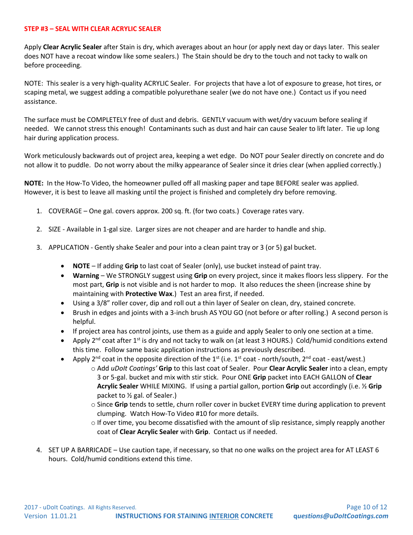#### **STEP #3 – SEAL WITH CLEAR ACRYLIC SEALER**

Apply **Clear Acrylic Sealer** after Stain is dry, which averages about an hour (or apply next day or days later. This sealer does NOT have a recoat window like some sealers.) The Stain should be dry to the touch and not tacky to walk on before proceeding.

NOTE: This sealer is a very high-quality ACRYLIC Sealer. For projects that have a lot of exposure to grease, hot tires, or scaping metal, we suggest adding a compatible polyurethane sealer (we do not have one.) Contact us if you need assistance.

The surface must be COMPLETELY free of dust and debris. GENTLY vacuum with wet/dry vacuum before sealing if needed. We cannot stress this enough! Contaminants such as dust and hair can cause Sealer to lift later. Tie up long hair during application process.

Work meticulously backwards out of project area, keeping a wet edge. Do NOT pour Sealer directly on concrete and do not allow it to puddle. Do not worry about the milky appearance of Sealer since it dries clear (when applied correctly.)

**NOTE:** In the How-To Video, the homeowner pulled off all masking paper and tape BEFORE sealer was applied. However, it is best to leave all masking until the project is finished and completely dry before removing.

- 1. COVERAGE One gal. covers approx. 200 sq. ft. (for two coats.) Coverage rates vary.
- 2. SIZE Available in 1-gal size. Larger sizes are not cheaper and are harder to handle and ship.
- 3. APPLICATION Gently shake Sealer and pour into a clean paint tray or 3 (or 5) gal bucket.
	- **NOTE** If adding **Grip** to last coat of Sealer (only), use bucket instead of paint tray.
	- **Warning** We STRONGLY suggest using **Grip** on every project, since it makes floors less slippery. For the most part, **Grip** is not visible and is not harder to mop. It also reduces the sheen (increase shine by maintaining with **Protective Wax**.) Test an area first, if needed.
	- Using a 3/8" roller cover, dip and roll out a thin layer of Sealer on clean, dry, stained concrete.
	- Brush in edges and joints with a 3-inch brush AS YOU GO (not before or after rolling.) A second person is helpful.
	- If project area has control joints, use them as a guide and apply Sealer to only one section at a time.
	- Apply 2<sup>nd</sup> coat after 1<sup>st</sup> is dry and not tacky to walk on (at least 3 HOURS.) Cold/humid conditions extend this time. Follow same basic application instructions as previously described.
	- Apply 2<sup>nd</sup> coat in the opposite direction of the 1<sup>st</sup> (i.e. 1<sup>st</sup> coat north/south, 2<sup>nd</sup> coat east/west.)
		- o Add *uDoIt Coatings'* **Grip** to this last coat of Sealer. Pour **Clear Acrylic Sealer** into a clean, empty 3 or 5-gal. bucket and mix with stir stick. Pour ONE **Grip** packet into EACH GALLON of **Clear Acrylic Sealer** WHILE MIXING. If using a partial gallon, portion **Grip** out accordingly (i.e. ½ **Grip** packet to ½ gal. of Sealer.)
			- o Since **Grip** tends to settle, churn roller cover in bucket EVERY time during application to prevent clumping. Watch How-To Video #10 for more details.
			- o If over time, you become dissatisfied with the amount of slip resistance, simply reapply another coat of **Clear Acrylic Sealer** with **Grip**. Contact us if needed.
- 4. SET UP A BARRICADE Use caution tape, if necessary, so that no one walks on the project area for AT LEAST 6 hours. Cold/humid conditions extend this time.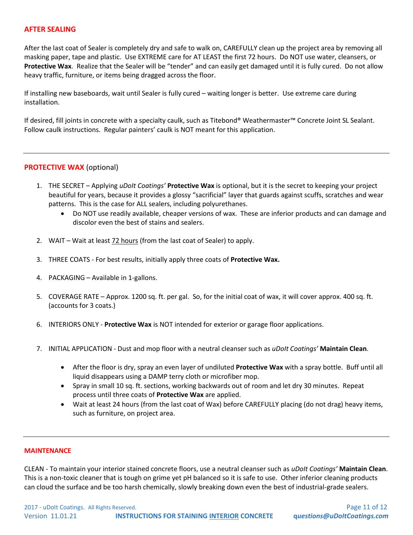#### **AFTER SEALING**

After the last coat of Sealer is completely dry and safe to walk on, CAREFULLY clean up the project area by removing all masking paper, tape and plastic. Use EXTREME care for AT LEAST the first 72 hours. Do NOT use water, cleansers, or **Protective Wax**. Realize that the Sealer will be "tender" and can easily get damaged until it is fully cured. Do not allow heavy traffic, furniture, or items being dragged across the floor.

If installing new baseboards, wait until Sealer is fully cured – waiting longer is better. Use extreme care during installation.

If desired, fill joints in concrete with a specialty caulk, such as Titebond® Weathermaster™ Concrete Joint SL Sealant. Follow caulk instructions. Regular painters' caulk is NOT meant for this application.

#### **PROTECTIVE WAX** (optional)

- 1. THE SECRET Applying *uDoIt Coatings'* **Protective Wax** is optional, but it is the secret to keeping your project beautiful for years, because it provides a glossy "sacrificial" layer that guards against scuffs, scratches and wear patterns. This is the case for ALL sealers, including polyurethanes.
	- Do NOT use readily available, cheaper versions of wax. These are inferior products and can damage and discolor even the best of stains and sealers.
- 2. WAIT Wait at least 72 hours (from the last coat of Sealer) to apply.
- 3. THREE COATS For best results, initially apply three coats of **Protective Wax.**
- 4. PACKAGING Available in 1-gallons.
- 5. COVERAGE RATE Approx. 1200 sq. ft. per gal. So, for the initial coat of wax, it will cover approx. 400 sq. ft. (accounts for 3 coats.)
- 6. INTERIORS ONLY **Protective Wax** is NOT intended for exterior or garage floor applications.
- 7. INITIAL APPLICATION Dust and mop floor with a neutral cleanser such as *uDoIt Coatings'* **Maintain Clean**.
	- After the floor is dry, spray an even layer of undiluted **Protective Wax** with a spray bottle.Buff until all liquid disappears using a DAMP terry cloth or microfiber mop.
	- Spray in small 10 sq. ft. sections, working backwards out of room and let dry 30 minutes. Repeat process until three coats of **Protective Wax** are applied.
	- Wait at least 24 hours (from the last coat of Wax) before CAREFULLY placing (do not drag) heavy items, such as furniture, on project area.

#### **MAINTENANCE**

CLEAN - To maintain your interior stained concrete floors, use a neutral cleanser such as *uDoIt Coatings'* **Maintain Clean**. This is a non-toxic cleaner that is tough on grime yet pH balanced so it is safe to use. Other inferior cleaning products can cloud the surface and be too harsh chemically, slowly breaking down even the best of industrial-grade sealers.